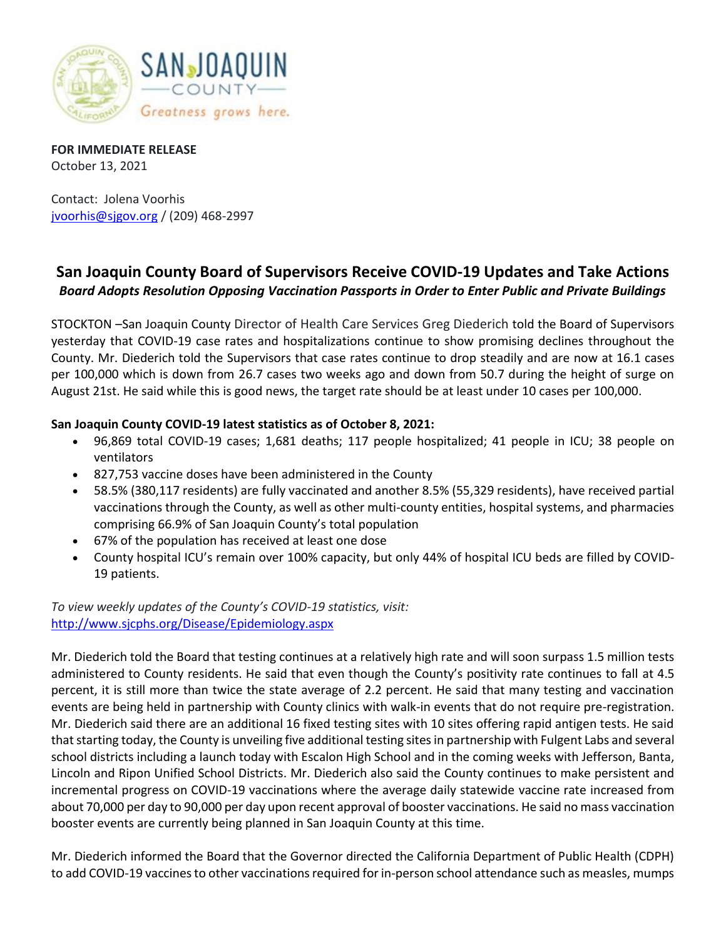

**FOR IMMEDIATE RELEASE** October 13, 2021

Contact: Jolena Voorhis [jvoorhis@sjgov.org](mailto:jvoorhis@sjgov.org) / (209) 468-2997

## **San Joaquin County Board of Supervisors Receive COVID-19 Updates and Take Actions** *Board Adopts Resolution Opposing Vaccination Passports in Order to Enter Public and Private Buildings*

STOCKTON –San Joaquin County Director of Health Care Services Greg Diederich told the Board of Supervisors yesterday that COVID-19 case rates and hospitalizations continue to show promising declines throughout the County. Mr. Diederich told the Supervisors that case rates continue to drop steadily and are now at 16.1 cases per 100,000 which is down from 26.7 cases two weeks ago and down from 50.7 during the height of surge on August 21st. He said while this is good news, the target rate should be at least under 10 cases per 100,000.

## **San Joaquin County COVID-19 latest statistics as of October 8, 2021:**

- 96,869 total COVID-19 cases; 1,681 deaths; 117 people hospitalized; 41 people in ICU; 38 people on ventilators
- 827,753 vaccine doses have been administered in the County
- 58.5% (380,117 residents) are fully vaccinated and another 8.5% (55,329 residents), have received partial vaccinations through the County, as well as other multi-county entities, hospital systems, and pharmacies comprising 66.9% of San Joaquin County's total population
- 67% of the population has received at least one dose
- County hospital ICU's remain over 100% capacity, but only 44% of hospital ICU beds are filled by COVID-19 patients.

*To view weekly updates of the County's COVID-19 statistics, visit:*  <http://www.sjcphs.org/Disease/Epidemiology.aspx>

Mr. Diederich told the Board that testing continues at a relatively high rate and will soon surpass 1.5 million tests administered to County residents. He said that even though the County's positivity rate continues to fall at 4.5 percent, it is still more than twice the state average of 2.2 percent. He said that many testing and vaccination events are being held in partnership with County clinics with walk-in events that do not require pre-registration. Mr. Diederich said there are an additional 16 fixed testing sites with 10 sites offering rapid antigen tests. He said that starting today, the County is unveiling five additional testing sites in partnership with Fulgent Labs and several school districts including a launch today with Escalon High School and in the coming weeks with Jefferson, Banta, Lincoln and Ripon Unified School Districts. Mr. Diederich also said the County continues to make persistent and incremental progress on COVID-19 vaccinations where the average daily statewide vaccine rate increased from about 70,000 per day to 90,000 per day upon recent approval of booster vaccinations. He said no mass vaccination booster events are currently being planned in San Joaquin County at this time.

Mr. Diederich informed the Board that the Governor directed the California Department of Public Health (CDPH) to add COVID-19 vaccines to other vaccinations required for in-person school attendance such as measles, mumps